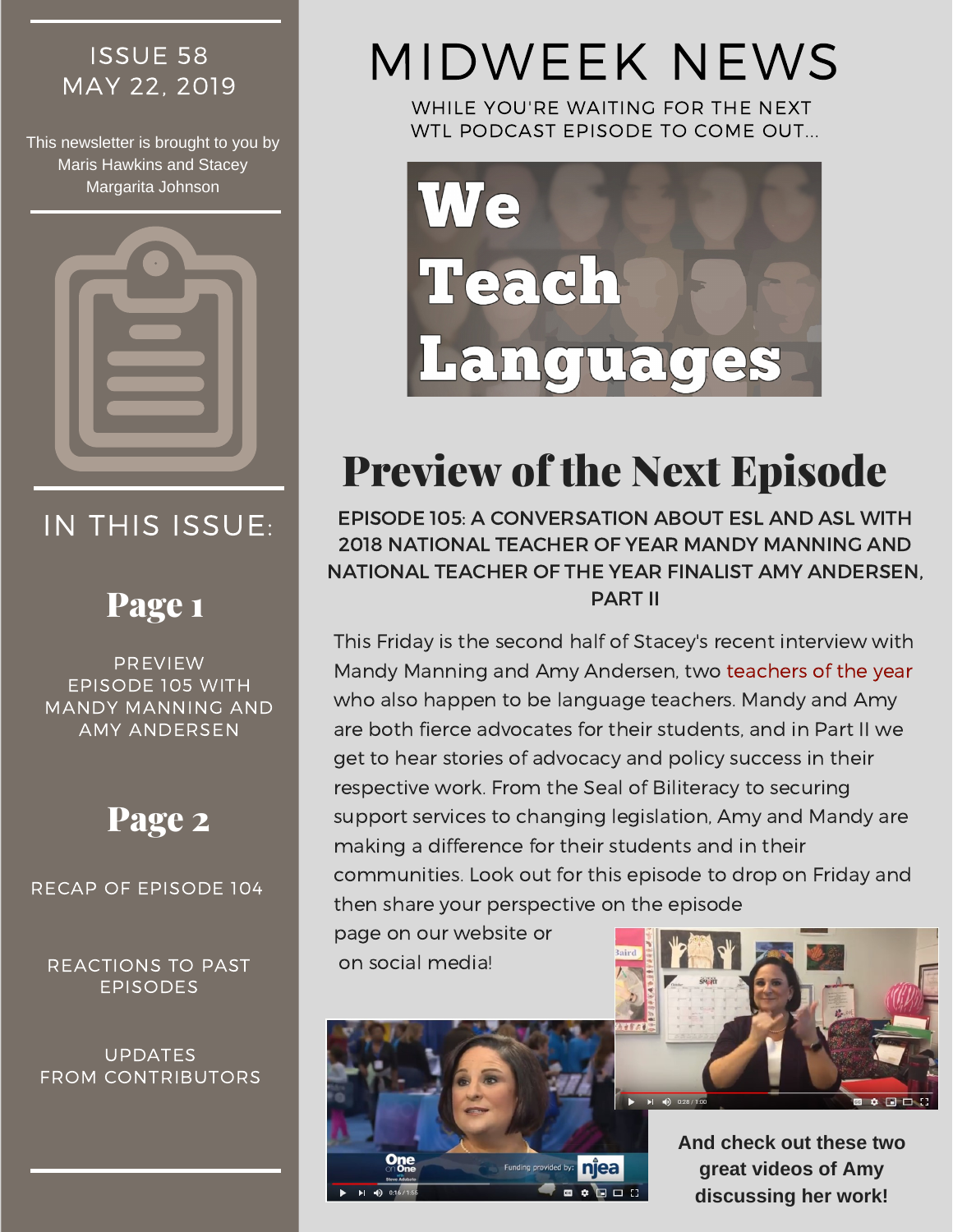## ISSUE 58

This newsletter is brought to you by Maris Hawkins and Stacey Margarita Johnson



## IN THIS ISSUE:

### Page 1

PREVIEW EPISODE 105 WITH MANDY MANNING AND AMY ANDERSEN

## Page 2

RECAP OF EPISODE 104

REACTIONS TO PAST EPISODES

UPDATES FROM CONTRIBUTORS

# ISSUE 58 MIDWEEK NEWS

WHILE YOU'RE WAITING FOR THE NEXT WTL PODCAST EPISODE TO COME OUT...



# Preview of the Next Episode

EPISODE 105: A CONVERSATION ABOUT ESL AND ASL WITH 2018 NATIONAL TEACHER OF YEAR MANDY MANNING AND NATIONAL TEACHER OF THE YEAR FINALIST AMY ANDERSEN, PART II

This Friday is the second half of Stacey's recent interview with Mandy Manning and Amy Andersen, two teachers of the year who also happen to be language teachers. Mandy and Amy are both fierce advocates for their students, and in Part II we get to hear stories of advocacy and policy success in their respective work. From the Seal of Biliteracy to securing support services to changing legislation, Amy and Mandy are making a difference for their students and in their communities. Look out for this episode to drop on Friday and then share your perspective on the episode

page on our website or on social media!





**And check out these two great videos of Amy discussing her work!**